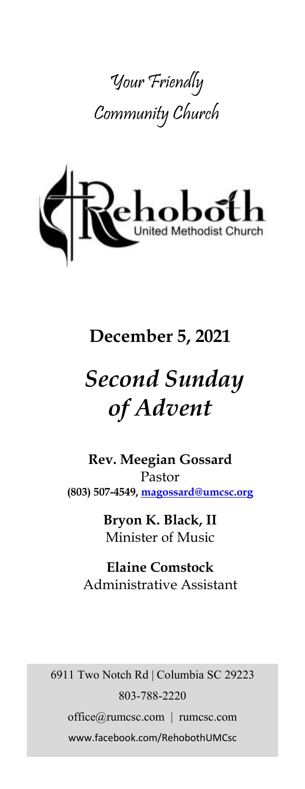



## **December 5, 2021**

# *Second Sunday of Advent*

**Rev. Meegian Gossard** Pastor **(803) 507-4549, magossard@umcsc.org**

> **Bryon K. Black, II** Minister of Music

**Elaine Comstock** Administrative Assistant

6911 Two Notch Rd | Columbia SC 29223 803-788-2220 office@rumcsc.com | rumcsc.com www.facebook.com/RehobothUMCsc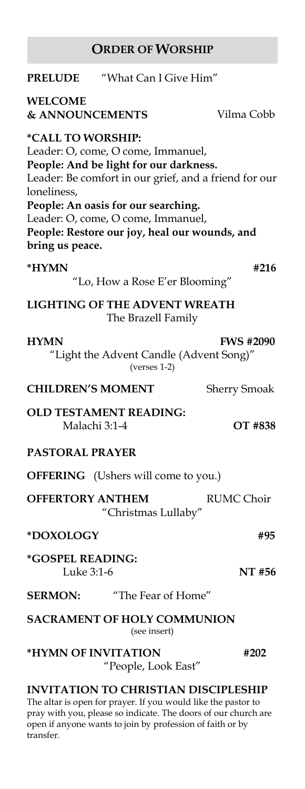## **ORDER OF WORSHIP**

| <b>PRELUDE</b>                                             | "What Can I Give Him"                                                                                                                                                                                      |                                                       |
|------------------------------------------------------------|------------------------------------------------------------------------------------------------------------------------------------------------------------------------------------------------------------|-------------------------------------------------------|
| WELCOME<br><b>&amp; ANNOUNCEMENTS</b>                      |                                                                                                                                                                                                            | Vilma Cobb                                            |
| *CALL TO WORSHIP:<br>loneliness,<br>bring us peace.        | Leader: O, come, O come, Immanuel,<br>People: And be light for our darkness.<br>People: An oasis for our searching.<br>Leader: O, come, O come, Immanuel,<br>People: Restore our joy, heal our wounds, and | Leader: Be comfort in our grief, and a friend for our |
| *HYMN                                                      | "Lo, How a Rose E'er Blooming"                                                                                                                                                                             | #216                                                  |
| <b>LIGHTING OF THE ADVENT WREATH</b><br>The Brazell Family |                                                                                                                                                                                                            |                                                       |
| <b>HYMN</b>                                                | "Light the Advent Candle (Advent Song)"<br>$(verses 1-2)$                                                                                                                                                  | <b>FWS #2090</b>                                      |
| <b>CHILDREN'S MOMENT</b>                                   |                                                                                                                                                                                                            | <b>Sherry Smoak</b>                                   |
| Malachi 3:1-4                                              | <b>OLD TESTAMENT READING:</b>                                                                                                                                                                              | OT #838                                               |
| <b>PASTORAL PRAYER</b>                                     |                                                                                                                                                                                                            |                                                       |
|                                                            | <b>OFFERING</b> (Ushers will come to you.)                                                                                                                                                                 |                                                       |
| <b>OFFERTORY ANTHEM</b>                                    | "Christmas Lullaby"                                                                                                                                                                                        | <b>RUMC Choir</b>                                     |
| *DOXOLOGY                                                  |                                                                                                                                                                                                            | #95                                                   |
| *GOSPEL READING:<br>Luke 3:1-6                             |                                                                                                                                                                                                            | NT #56                                                |
| <b>SERMON:</b>                                             | "The Fear of Home"                                                                                                                                                                                         |                                                       |
| <b>SACRAMENT OF HOLY COMMUNION</b><br>(see insert)         |                                                                                                                                                                                                            |                                                       |
| *HYMN OF INVITATION                                        | "People, Look East"                                                                                                                                                                                        | #202                                                  |
|                                                            | <b>INVITATION TO CHRISTIAN DISCIPLESHIP</b><br>The altar is open for prayer. If you would like the pastor to                                                                                               |                                                       |

pray with you, please so indicate. The doors of our church are open if anyone wants to join by profession of faith or by transfer.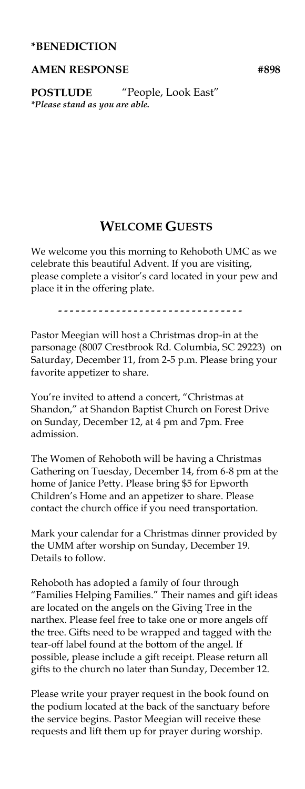#### **\*BENEDICTION**

#### AMEN RESPONSE #898

**POSTLUDE** "People, Look East" *\*Please stand as you are able.*

#### **WELCOME GUESTS**

We welcome you this morning to Rehoboth UMC as we celebrate this beautiful Advent. If you are visiting, please complete a visitor's card located in your pew and place it in the offering plate.

.................................

Pastor Meegian will host a Christmas drop-in at the parsonage (8007 Crestbrook Rd. Columbia, SC 29223) on Saturday, December 11, from 2-5 p.m. Please bring your favorite appetizer to share.

You're invited to attend a concert, "Christmas at Shandon," at Shandon Baptist Church on Forest Drive on Sunday, December 12, at 4 pm and 7pm. Free admission.

The Women of Rehoboth will be having a Christmas Gathering on Tuesday, December 14, from 6-8 pm at the home of Janice Petty. Please bring \$5 for Epworth Children's Home and an appetizer to share. Please contact the church office if you need transportation.

Mark your calendar for a Christmas dinner provided by the UMM after worship on Sunday, December 19. Details to follow.

Rehoboth has adopted a family of four through "Families Helping Families." Their names and gift ideas are located on the angels on the Giving Tree in the narthex. Please feel free to take one or more angels off the tree. Gifts need to be wrapped and tagged with the tear-off label found at the bottom of the angel. If possible, please include a gift receipt. Please return all gifts to the church no later than Sunday, December 12.

Please write your prayer request in the book found on the podium located at the back of the sanctuary before the service begins. Pastor Meegian will receive these requests and lift them up for prayer during worship.